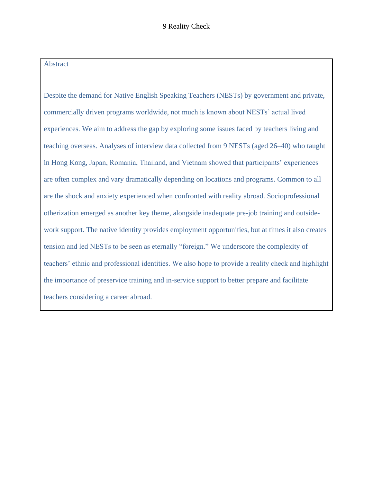#### Abstract

Despite the demand for Native English Speaking Teachers (NESTs) by government and private, commercially driven programs worldwide, not much is known about NESTs' actual lived experiences. We aim to address the gap by exploring some issues faced by teachers living and teaching overseas. Analyses of interview data collected from 9 NESTs (aged 26–40) who taught in Hong Kong, Japan, Romania, Thailand, and Vietnam showed that participants' experiences are often complex and vary dramatically depending on locations and programs. Common to all are the shock and anxiety experienced when confronted with reality abroad. Socioprofessional otherization emerged as another key theme, alongside inadequate pre-job training and outsidework support. The native identity provides employment opportunities, but at times it also creates tension and led NESTs to be seen as eternally "foreign." We underscore the complexity of teachers' ethnic and professional identities. We also hope to provide a reality check and highlight the importance of preservice training and in-service support to better prepare and facilitate teachers considering a career abroad.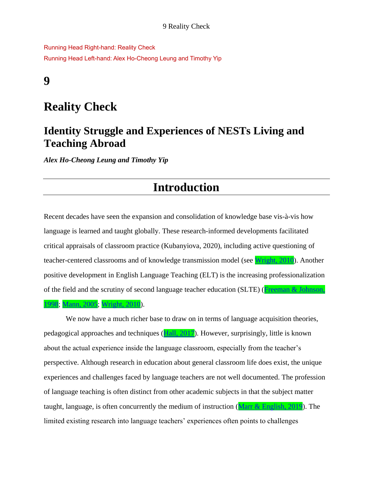Running Head Right-hand: Reality Check Running Head Left-hand: Alex Ho-Cheong Leung and Timothy Yip

### **9**

## **Reality Check**

### **Identity Struggle and Experiences of NESTs Living and Teaching Abroad**

*Alex Ho-Cheong Leung and Timothy Yip*

# **Introduction**

Recent decades have seen the expansion and consolidation of knowledge base vis-à-vis how language is learned and taught globally. These research-informed developments facilitated critical appraisals of classroom practice (Kubanyiova, 2020), including active questioning of teacher-centered classrooms and of knowledge transmission model (see [Wright, 2010\)](file:///C:/Users/rtang/AppData/Local/Temp/Temp1_Yazan%2015032-3468%20for%20Copyediting%20(1).zip/Yazan%2015032-3468%20for%20Copyediting/15032-3468-FullBook.docx%23Ref_388_FILE150323468009). Another positive development in English Language Teaching (ELT) is the increasing professionalization of the field and the scrutiny of second language teacher education (SLTE) [\(Freeman & Johnson,](file:///C:/Users/rtang/AppData/Local/Temp/Temp1_Yazan%2015032-3468%20for%20Copyediting%20(1).zip/Yazan%2015032-3468%20for%20Copyediting/15032-3468-FullBook.docx%23Ref_359_FILE150323468009)  [1998;](file:///C:/Users/rtang/AppData/Local/Temp/Temp1_Yazan%2015032-3468%20for%20Copyediting%20(1).zip/Yazan%2015032-3468%20for%20Copyediting/15032-3468-FullBook.docx%23Ref_359_FILE150323468009) [Mann, 2005;](file:///C:/Users/rtang/AppData/Local/Temp/Temp1_Yazan%2015032-3468%20for%20Copyediting%20(1).zip/Yazan%2015032-3468%20for%20Copyediting/15032-3468-FullBook.docx%23Ref_371_FILE150323468009) [Wright, 2010\)](file:///C:/Users/rtang/AppData/Local/Temp/Temp1_Yazan%2015032-3468%20for%20Copyediting%20(1).zip/Yazan%2015032-3468%20for%20Copyediting/15032-3468-FullBook.docx%23Ref_388_FILE150323468009).

We now have a much richer base to draw on in terms of language acquisition theories, pedagogical approaches and techniques [\(Hall, 2017\)](file:///C:/Users/rtang/AppData/Local/Temp/Temp1_Yazan%2015032-3468%20for%20Copyediting%20(1).zip/Yazan%2015032-3468%20for%20Copyediting/15032-3468-FullBook.docx%23Ref_361_FILE150323468009). However, surprisingly, little is known about the actual experience inside the language classroom, especially from the teacher's perspective. Although research in education about general classroom life does exist, the unique experiences and challenges faced by language teachers are not well documented. The profession of language teaching is often distinct from other academic subjects in that the subject matter taught, language, is often concurrently the medium of instruction [\(Marr & English, 2019\)](file:///C:/Users/rtang/AppData/Local/Temp/Temp1_Yazan%2015032-3468%20for%20Copyediting%20(1).zip/Yazan%2015032-3468%20for%20Copyediting/15032-3468-FullBook.docx%23Ref_372_FILE150323468009). The limited existing research into language teachers' experiences often points to challenges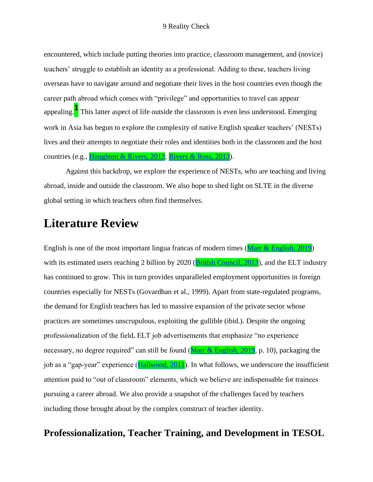encountered, which include putting theories into practice, classroom management, and (novice) teachers' struggle to establish an identity as a professional. Adding to these, teachers living overseas have to navigate around and negotiate their lives in the host countries even though the career path abroad which comes with "privilege" and opportunities to travel can appear appealing.**<sup>1</sup>** This latter aspect of life outside the classroom is even less understood. Emerging work in Asia has begun to explore the complexity of native English speaker teachers' (NESTs) lives and their attempts to negotiate their roles and identities both in the classroom and the host countries (e.g., [Houghton & Rivers, 2013;](file:///C:/Users/rtang/AppData/Local/Temp/Temp1_Yazan%2015032-3468%20for%20Copyediting%20(1).zip/Yazan%2015032-3468%20for%20Copyediting/15032-3468-FullBook.docx%23Ref_365_FILE150323468009) [Rivers & Ross, 2013\)](file:///C:/Users/rtang/AppData/Local/Temp/Temp1_Yazan%2015032-3468%20for%20Copyediting%20(1).zip/Yazan%2015032-3468%20for%20Copyediting/15032-3468-FullBook.docx%23Ref_377_FILE150323468009).

Against this backdrop, we explore the experience of NESTs, who are teaching and living abroad, inside and outside the classroom. We also hope to shed light on SLTE in the diverse global setting in which teachers often find themselves.

## **Literature Review**

English is one of the most important lingua francas of modern times [\(Marr & English, 2019\)](file:///C:/Users/rtang/AppData/Local/Temp/Temp1_Yazan%2015032-3468%20for%20Copyediting%20(1).zip/Yazan%2015032-3468%20for%20Copyediting/15032-3468-FullBook.docx%23Ref_372_FILE150323468009) with its estimated users reaching 2 billion by 2020 [\(British Council, 2013\)](file:///C:/Users/rtang/AppData/Local/Temp/Temp1_Yazan%2015032-3468%20for%20Copyediting%20(1).zip/Yazan%2015032-3468%20for%20Copyediting/15032-3468-FullBook.docx%23Ref_347_FILE150323468009), and the ELT industry has continued to grow. This in turn provides unparalleled employment opportunities in foreign countries especially for NESTs (Govardhan et al., 1999). Apart from state-regulated programs, the demand for English teachers has led to massive expansion of the private sector whose practices are sometimes unscrupulous, exploiting the gullible (ibid.). Despite the ongoing professionalization of the field, ELT job advertisements that emphasize "no experience necessary, no degree required" can still be found [\(Marr & English, 2019,](file:///C:/Users/rtang/AppData/Local/Temp/Temp1_Yazan%2015032-3468%20for%20Copyediting%20(1).zip/Yazan%2015032-3468%20for%20Copyediting/15032-3468-FullBook.docx%23Ref_372_FILE150323468009) p. 10), packaging the job as a "gap-year" experience [\(Hallwood, 2011\)](file:///C:/Users/rtang/AppData/Local/Temp/Temp1_Yazan%2015032-3468%20for%20Copyediting%20(1).zip/Yazan%2015032-3468%20for%20Copyediting/15032-3468-FullBook.docx%23Ref_362_FILE150323468009). In what follows, we underscore the insufficient attention paid to "out of classroom" elements, which we believe are indispensable for trainees pursuing a career abroad. We also provide a snapshot of the challenges faced by teachers including those brought about by the complex construct of teacher identity.

### **Professionalization, Teacher Training, and Development in TESOL**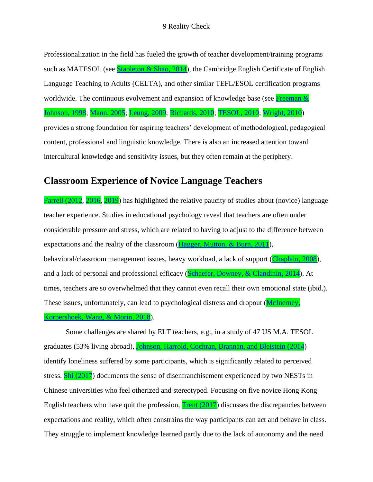Professionalization in the field has fueled the growth of teacher development/training programs such as MATESOL (see [Stapleton & Shao, 2014\)](file:///C:/Users/rtang/AppData/Local/Temp/Temp1_Yazan%2015032-3468%20for%20Copyediting%20(1).zip/Yazan%2015032-3468%20for%20Copyediting/15032-3468-FullBook.docx%23Ref_383_FILE150323468009), the Cambridge English Certificate of English Language Teaching to Adults (CELTA), and other similar TEFL/ESOL certification programs worldwide. The continuous evolvement and expansion of knowledge base (see Freeman & [Johnson, 1998;](file:///C:/Users/rtang/AppData/Local/Temp/Temp1_Yazan%2015032-3468%20for%20Copyediting%20(1).zip/Yazan%2015032-3468%20for%20Copyediting/15032-3468-FullBook.docx%23Ref_359_FILE150323468009) [Mann, 2005;](file:///C:/Users/rtang/AppData/Local/Temp/Temp1_Yazan%2015032-3468%20for%20Copyediting%20(1).zip/Yazan%2015032-3468%20for%20Copyediting/15032-3468-FullBook.docx%23Ref_371_FILE150323468009) [Leung, 2009;](file:///C:/Users/rtang/AppData/Local/Temp/Temp1_Yazan%2015032-3468%20for%20Copyediting%20(1).zip/Yazan%2015032-3468%20for%20Copyediting/15032-3468-FullBook.docx%23Ref_369_FILE150323468009) [Richards, 2010;](file:///C:/Users/rtang/AppData/Local/Temp/Temp1_Yazan%2015032-3468%20for%20Copyediting%20(1).zip/Yazan%2015032-3468%20for%20Copyediting/15032-3468-FullBook.docx%23Ref_376_FILE150323468009) [TESOL, 2010;](file:///C:/Users/rtang/AppData/Local/Temp/Temp1_Yazan%2015032-3468%20for%20Copyediting%20(1).zip/Yazan%2015032-3468%20for%20Copyediting/15032-3468-FullBook.docx%23Ref_384_FILE150323468009) [Wright, 2010\)](file:///C:/Users/rtang/AppData/Local/Temp/Temp1_Yazan%2015032-3468%20for%20Copyediting%20(1).zip/Yazan%2015032-3468%20for%20Copyediting/15032-3468-FullBook.docx%23Ref_388_FILE150323468009) provides a strong foundation for aspiring teachers' development of methodological, pedagogical

content, professional and linguistic knowledge. There is also an increased attention toward intercultural knowledge and sensitivity issues, but they often remain at the periphery.

### **Classroom Experience of Novice Language Teachers**

[Farrell \(2012,](file:///C:/Users/rtang/AppData/Local/Temp/Temp1_Yazan%2015032-3468%20for%20Copyediting%20(1).zip/Yazan%2015032-3468%20for%20Copyediting/15032-3468-FullBook.docx%23Ref_356_FILE150323468009) [2016,](file:///C:/Users/rtang/AppData/Local/Temp/Temp1_Yazan%2015032-3468%20for%20Copyediting%20(1).zip/Yazan%2015032-3468%20for%20Copyediting/15032-3468-FullBook.docx%23Ref_357_FILE150323468009) [2019\)](file:///C:/Users/rtang/AppData/Local/Temp/Temp1_Yazan%2015032-3468%20for%20Copyediting%20(1).zip/Yazan%2015032-3468%20for%20Copyediting/15032-3468-FullBook.docx%23Ref_358_FILE150323468009) has highlighted the relative paucity of studies about (novice) language teacher experience. Studies in educational psychology reveal that teachers are often under considerable pressure and stress, which are related to having to adjust to the difference between expectations and the reality of the classroom [\(Hagger, Mutton, & Burn, 2011\)](file:///C:/Users/rtang/AppData/Local/Temp/Temp1_Yazan%2015032-3468%20for%20Copyediting%20(1).zip/Yazan%2015032-3468%20for%20Copyediting/15032-3468-FullBook.docx%23Ref_360_FILE150323468009), behavioral/classroom management issues, heavy workload, a lack of support [\(Chaplain, 2008\)](file:///C:/Users/rtang/AppData/Local/Temp/Temp1_Yazan%2015032-3468%20for%20Copyediting%20(1).zip/Yazan%2015032-3468%20for%20Copyediting/15032-3468-FullBook.docx%23Ref_351_FILE150323468009), and a lack of personal and professional efficacy [\(Schaefer, Downey, & Clandinin, 2014\)](file:///C:/Users/rtang/AppData/Local/Temp/Temp1_Yazan%2015032-3468%20for%20Copyediting%20(1).zip/Yazan%2015032-3468%20for%20Copyediting/15032-3468-FullBook.docx%23Ref_381_FILE150323468009). At times, teachers are so overwhelmed that they cannot even recall their own emotional state (ibid.). These issues, unfortunately, can lead to psychological distress and dropout [\(McInerney,](file:///C:/Users/rtang/AppData/Local/Temp/Temp1_Yazan%2015032-3468%20for%20Copyediting%20(1).zip/Yazan%2015032-3468%20for%20Copyediting/15032-3468-FullBook.docx%23Ref_373_FILE150323468009)  [Korpershoek, Wang, &](file:///C:/Users/rtang/AppData/Local/Temp/Temp1_Yazan%2015032-3468%20for%20Copyediting%20(1).zip/Yazan%2015032-3468%20for%20Copyediting/15032-3468-FullBook.docx%23Ref_373_FILE150323468009) Morin, 2018).

Some challenges are shared by ELT teachers, e.g., in a study of 47 US M.A. TESOL graduates (53% living abroad), [Johnson, Harrold, Cochran, Brannan, and](file:///C:/Users/rtang/AppData/Local/Temp/Temp1_Yazan%2015032-3468%20for%20Copyediting%20(1).zip/Yazan%2015032-3468%20for%20Copyediting/15032-3468-FullBook.docx%23Ref_366_FILE150323468009) Bleistein (2014) identify loneliness suffered by some participants, which is significantly related to perceived stress. [Shi \(2017\)](file:///C:/Users/rtang/AppData/Local/Temp/Temp1_Yazan%2015032-3468%20for%20Copyediting%20(1).zip/Yazan%2015032-3468%20for%20Copyediting/15032-3468-FullBook.docx%23Ref_382_FILE150323468009) documents the sense of disenfranchisement experienced by two NESTs in Chinese universities who feel otherized and stereotyped. Focusing on five novice Hong Kong English teachers who have quit the profession,  $Trent (2017)$  discusses the discrepancies between expectations and reality, which often constrains the way participants can act and behave in class. They struggle to implement knowledge learned partly due to the lack of autonomy and the need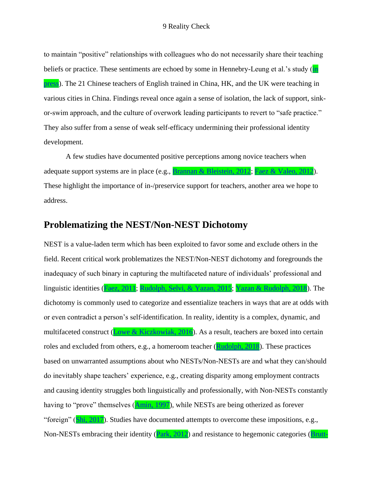to maintain "positive" relationships with colleagues who do not necessarily share their teaching beliefs or practice. These sentiments are echoed by some in Hennebry-Leung et al.'s study (in [press\)](file:///C:/Users/rtang/AppData/Local/Temp/Temp1_Yazan%2015032-3468%20for%20Copyediting%20(1).zip/Yazan%2015032-3468%20for%20Copyediting/15032-3468-FullBook.docx%23Ref_363_FILE150323468009). The 21 Chinese teachers of English trained in China, HK, and the UK were teaching in various cities in China. Findings reveal once again a sense of isolation, the lack of support, sinkor-swim approach, and the culture of overwork leading participants to revert to "safe practice." They also suffer from a sense of weak self-efficacy undermining their professional identity development.

A few studies have documented positive perceptions among novice teachers when adequate support systems are in place (e.g., [Brannan & Bleistein, 2012;](file:///C:/Users/rtang/AppData/Local/Temp/Temp1_Yazan%2015032-3468%20for%20Copyediting%20(1).zip/Yazan%2015032-3468%20for%20Copyediting/15032-3468-FullBook.docx%23Ref_346_FILE150323468009) [Faez & Valeo, 2012\)](file:///C:/Users/rtang/AppData/Local/Temp/Temp1_Yazan%2015032-3468%20for%20Copyediting%20(1).zip/Yazan%2015032-3468%20for%20Copyediting/15032-3468-FullBook.docx%23Ref_354_FILE150323468009). These highlight the importance of in-/preservice support for teachers, another area we hope to address.

#### **Problematizing the NEST/Non-NEST Dichotomy**

NEST is a value-laden term which has been exploited to favor some and exclude others in the field. Recent critical work problematizes the NEST/Non-NEST dichotomy and foregrounds the inadequacy of such binary in capturing the multifaceted nature of individuals' professional and linguistic identities [\(Faez, 2011;](file:///C:/Users/rtang/AppData/Local/Temp/Temp1_Yazan%2015032-3468%20for%20Copyediting%20(1).zip/Yazan%2015032-3468%20for%20Copyediting/15032-3468-FullBook.docx%23Ref_353_FILE150323468009) [Rudolph, Selvi, & Yazan, 2015;](file:///C:/Users/rtang/AppData/Local/Temp/Temp1_Yazan%2015032-3468%20for%20Copyediting%20(1).zip/Yazan%2015032-3468%20for%20Copyediting/15032-3468-FullBook.docx%23Ref_379_FILE150323468009) [Yazan & Rudolph, 2018\)](file:///C:/Users/rtang/AppData/Local/Temp/Temp1_Yazan%2015032-3468%20for%20Copyediting%20(1).zip/Yazan%2015032-3468%20for%20Copyediting/15032-3468-FullBook.docx%23Ref_390_FILE150323468009). The dichotomy is commonly used to categorize and essentialize teachers in ways that are at odds with or even contradict a person's self-identification. In reality, identity is a complex, dynamic, and multifaceted construct [\(Lowe & Kiczkowiak, 2016\)](file:///C:/Users/rtang/AppData/Local/Temp/Temp1_Yazan%2015032-3468%20for%20Copyediting%20(1).zip/Yazan%2015032-3468%20for%20Copyediting/15032-3468-FullBook.docx%23Ref_370_FILE150323468009). As a result, teachers are boxed into certain roles and excluded from others, e.g., a homeroom teacher [\(Rudolph, 2018\)](file:///C:/Users/rtang/AppData/Local/Temp/Temp1_Yazan%2015032-3468%20for%20Copyediting%20(1).zip/Yazan%2015032-3468%20for%20Copyediting/15032-3468-FullBook.docx%23Ref_378_FILE150323468009). These practices based on unwarranted assumptions about who NESTs/Non-NESTs are and what they can/should do inevitably shape teachers' experience, e.g., creating disparity among employment contracts and causing identity struggles both linguistically and professionally, with Non-NESTs constantly having to "prove" themselves [\(Amin, 1997\)](file:///C:/Users/rtang/AppData/Local/Temp/Temp1_Yazan%2015032-3468%20for%20Copyediting%20(1).zip/Yazan%2015032-3468%20for%20Copyediting/15032-3468-FullBook.docx%23Ref_344_FILE150323468009), while NESTs are being otherized as forever "foreign" [\(Shi, 2017\)](file:///C:/Users/rtang/AppData/Local/Temp/Temp1_Yazan%2015032-3468%20for%20Copyediting%20(1).zip/Yazan%2015032-3468%20for%20Copyediting/15032-3468-FullBook.docx%23Ref_382_FILE150323468009). Studies have documented attempts to overcome these impositions, e.g., Non-NESTs embracing their identity [\(Park,](file:///C:/Users/rtang/AppData/Local/Temp/Temp1_Yazan%2015032-3468%20for%20Copyediting%20(1).zip/Yazan%2015032-3468%20for%20Copyediting/15032-3468-FullBook.docx%23Ref_374_FILE150323468009) 2012) and resistance to hegemonic categories [\(Brutt-](file:///C:/Users/rtang/AppData/Local/Temp/Temp1_Yazan%2015032-3468%20for%20Copyediting%20(1).zip/Yazan%2015032-3468%20for%20Copyediting/15032-3468-FullBook.docx%23Ref_348_FILE150323468009)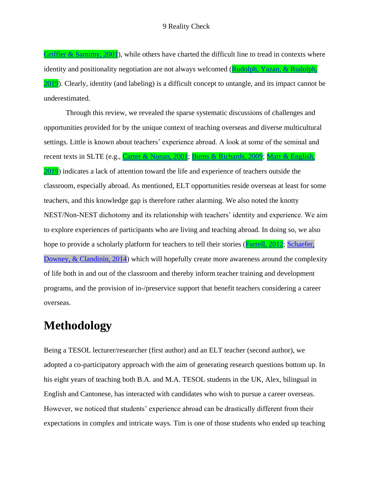[Griffler & Samimy,](file:///C:/Users/rtang/AppData/Local/Temp/Temp1_Yazan%2015032-3468%20for%20Copyediting%20(1).zip/Yazan%2015032-3468%20for%20Copyediting/15032-3468-FullBook.docx%23Ref_348_FILE150323468009) 2001), while others have charted the difficult line to tread in contexts where identity and positionality negotiation are not always welcomed (Rudolph, Yazan, & Rudolph, [2019\)](file:///C:/Users/rtang/AppData/Local/Temp/Temp1_Yazan%2015032-3468%20for%20Copyediting%20(1).zip/Yazan%2015032-3468%20for%20Copyediting/15032-3468-FullBook.docx%23Ref_380_FILE150323468009). Clearly, identity (and labeling) is a difficult concept to untangle, and its impact cannot be underestimated.

Through this review, we revealed the sparse systematic discussions of challenges and opportunities provided for by the unique context of teaching overseas and diverse multicultural settings. Little is known about teachers' experience abroad. A look at some of the seminal and recent texts in SLTE (e.g., [Carter & Nunan, 2001;](file:///C:/Users/rtang/AppData/Local/Temp/Temp1_Yazan%2015032-3468%20for%20Copyediting%20(1).zip/Yazan%2015032-3468%20for%20Copyediting/15032-3468-FullBook.docx%23Ref_350_FILE150323468009) [Burns & Richards, 2009;](file:///C:/Users/rtang/AppData/Local/Temp/Temp1_Yazan%2015032-3468%20for%20Copyediting%20(1).zip/Yazan%2015032-3468%20for%20Copyediting/15032-3468-FullBook.docx%23Ref_349_FILE150323468009) [Marr & English,](file:///C:/Users/rtang/AppData/Local/Temp/Temp1_Yazan%2015032-3468%20for%20Copyediting%20(1).zip/Yazan%2015032-3468%20for%20Copyediting/15032-3468-FullBook.docx%23Ref_372_FILE150323468009)  [2019\)](file:///C:/Users/rtang/AppData/Local/Temp/Temp1_Yazan%2015032-3468%20for%20Copyediting%20(1).zip/Yazan%2015032-3468%20for%20Copyediting/15032-3468-FullBook.docx%23Ref_372_FILE150323468009) indicates a lack of attention toward the life and experience of teachers outside the classroom, especially abroad. As mentioned, ELT opportunities reside overseas at least for some teachers, and this knowledge gap is therefore rather alarming. We also noted the knotty NEST/Non-NEST dichotomy and its relationship with teachers' identity and experience. We aim to explore experiences of participants who are living and teaching abroad. In doing so, we also hope to provide a scholarly platform for teachers to tell their stories [\(Farrell, 2012;](file:///C:/Users/rtang/AppData/Local/Temp/Temp1_Yazan%2015032-3468%20for%20Copyediting%20(1).zip/Yazan%2015032-3468%20for%20Copyediting/15032-3468-FullBook.docx%23Ref_356_FILE150323468009) Schaefer, [Downey, & Clandinin, 2014\)](file:///C:/Users/rtang/AppData/Local/Temp/Temp1_Yazan%2015032-3468%20for%20Copyediting%20(1).zip/Yazan%2015032-3468%20for%20Copyediting/15032-3468-Ref%20Mismatch%20Report.docx%23LStERROR_145) which will hopefully create more awareness around the complexity of life both in and out of the classroom and thereby inform teacher training and development programs, and the provision of in-/preservice support that benefit teachers considering a career overseas.

## **Methodology**

Being a TESOL lecturer/researcher (first author) and an ELT teacher (second author), we adopted a co-participatory approach with the aim of generating research questions bottom up. In his eight years of teaching both B.A. and M.A. TESOL students in the UK, Alex, bilingual in English and Cantonese, has interacted with candidates who wish to pursue a career overseas. However, we noticed that students' experience abroad can be drastically different from their expectations in complex and intricate ways. Tim is one of those students who ended up teaching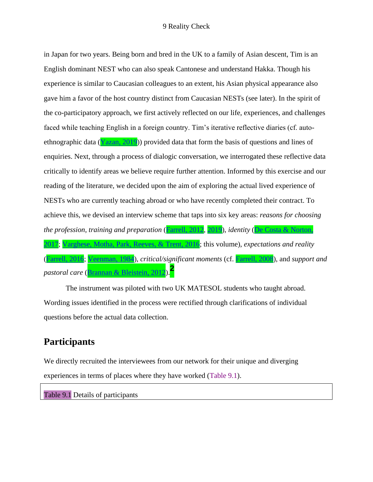in Japan for two years. Being born and bred in the UK to a family of Asian descent, Tim is an English dominant NEST who can also speak Cantonese and understand Hakka. Though his experience is similar to Caucasian colleagues to an extent, his Asian physical appearance also gave him a favor of the host country distinct from Caucasian NESTs (see later). In the spirit of the co-participatory approach, we first actively reflected on our life, experiences, and challenges faced while teaching English in a foreign country. Tim's iterative reflective diaries (cf. autoethnographic data ( $\overline{Y$ azan, 2019)) provided data that form the basis of questions and lines of enquiries. Next, through a process of dialogic conversation, we interrogated these reflective data critically to identify areas we believe require further attention. Informed by this exercise and our reading of the literature, we decided upon the aim of exploring the actual lived experience of NESTs who are currently teaching abroad or who have recently completed their contract. To achieve this, we devised an interview scheme that taps into six key areas: *reasons for choosing the profession*, *training and preparation* [\(Farrell,](file:///C:/Users/rtang/AppData/Local/Temp/Temp1_Yazan%2015032-3468%20for%20Copyediting%20(1).zip/Yazan%2015032-3468%20for%20Copyediting/15032-3468-FullBook.docx%23Ref_356_FILE150323468009) 2012, [2019\)](file:///C:/Users/rtang/AppData/Local/Temp/Temp1_Yazan%2015032-3468%20for%20Copyediting%20(1).zip/Yazan%2015032-3468%20for%20Copyediting/15032-3468-FullBook.docx%23Ref_358_FILE150323468009), *identity* [\(De Costa & Norton,](file:///C:/Users/rtang/AppData/Local/Temp/Temp1_Yazan%2015032-3468%20for%20Copyediting%20(1).zip/Yazan%2015032-3468%20for%20Copyediting/15032-3468-FullBook.docx%23Ref_352_FILE150323468009)  [2017;](file:///C:/Users/rtang/AppData/Local/Temp/Temp1_Yazan%2015032-3468%20for%20Copyediting%20(1).zip/Yazan%2015032-3468%20for%20Copyediting/15032-3468-FullBook.docx%23Ref_352_FILE150323468009) [Varghese, Motha, Park, Reeves, & Trent, 2016;](file:///C:/Users/rtang/AppData/Local/Temp/Temp1_Yazan%2015032-3468%20for%20Copyediting%20(1).zip/Yazan%2015032-3468%20for%20Copyediting/15032-3468-FullBook.docx%23Ref_386_FILE150323468009) this volume), *expectations and reality* [\(Farrell, 2016;](file:///C:/Users/rtang/AppData/Local/Temp/Temp1_Yazan%2015032-3468%20for%20Copyediting%20(1).zip/Yazan%2015032-3468%20for%20Copyediting/15032-3468-FullBook.docx%23Ref_357_FILE150323468009) [Veenman, 1984\)](file:///C:/Users/rtang/AppData/Local/Temp/Temp1_Yazan%2015032-3468%20for%20Copyediting%20(1).zip/Yazan%2015032-3468%20for%20Copyediting/15032-3468-FullBook.docx%23Ref_387_FILE150323468009), *critical/significant moments* (cf. [Farrell, 2008\)](file:///C:/Users/rtang/AppData/Local/Temp/Temp1_Yazan%2015032-3468%20for%20Copyediting%20(1).zip/Yazan%2015032-3468%20for%20Copyediting/15032-3468-FullBook.docx%23Ref_355_FILE150323468009), and *support and pastoral care* [\(Brannan & Bleistein, 2012\)](file:///C:/Users/rtang/AppData/Local/Temp/Temp1_Yazan%2015032-3468%20for%20Copyediting%20(1).zip/Yazan%2015032-3468%20for%20Copyediting/15032-3468-FullBook.docx%23Ref_346_FILE150323468009).**<sup>2</sup>**

The instrument was piloted with two UK MATESOL students who taught abroad. Wording issues identified in the process were rectified through clarifications of individual questions before the actual data collection.

### **Participants**

We directly recruited the interviewees from our network for their unique and diverging experiences in terms of places where they have worked (Table 9.1).

Table 9.1 Details of participants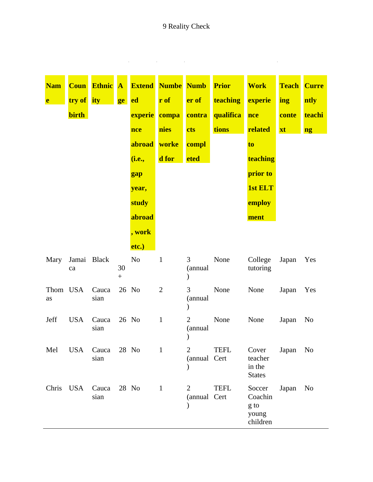### 9 Reality Check

<u> 1989 - Johann Barn, mars ar breist fan de Amerikaanske kommunent fan de Amerikaanske kommunent fan de Amerika</u>

| <b>Nam</b><br>e | <b>Coun</b><br>try of ity<br><b>birth</b> | <b>Ethnic</b> A | ge | <b>Extend</b><br>ed<br><b>experie</b><br>nce<br>abroad<br>(i.e.,<br>gap<br>year,<br>study<br>abroad<br>, work<br>etc.) | <b>Numbe Numb</b><br>r of<br>compa<br>nies<br>worke<br>d for | er of<br>contra<br>cts<br>compl<br><b>eted</b> | <b>Prior</b><br>teaching<br>qualifica<br>tions | <b>Work</b><br>experie<br>nce<br>related<br>to<br>teaching<br>prior to<br><b>1st ELT</b><br>employ<br>ment | <b>Teach</b><br>ing<br>conte<br>xt | <b>Curre</b><br>ntly<br>teachi<br>ng |
|-----------------|-------------------------------------------|-----------------|----|------------------------------------------------------------------------------------------------------------------------|--------------------------------------------------------------|------------------------------------------------|------------------------------------------------|------------------------------------------------------------------------------------------------------------|------------------------------------|--------------------------------------|
| Mary            | Jamai Black<br>ca                         |                 | 30 | N <sub>o</sub>                                                                                                         | $\mathbf{1}$                                                 | 3<br>(annual<br>)                              | None                                           | College<br>tutoring                                                                                        | Japan                              | Yes                                  |
| Thom USA<br>as  |                                           | Cauca<br>sian   |    | 26 No                                                                                                                  | $\mathfrak{2}$                                               | 3<br>(annual<br>$\mathcal{E}$                  | None                                           | None                                                                                                       | Japan                              | Yes                                  |
| Jeff            | <b>USA</b>                                | Cauca<br>sian   |    | 26 No                                                                                                                  | $\mathbf{1}$                                                 | $\overline{2}$<br>(annual                      | None                                           | None                                                                                                       | Japan                              | No                                   |
| Mel             | <b>USA</b>                                | Cauca<br>sian   |    | 28 No                                                                                                                  | $\mathbf{1}$                                                 | $\overline{2}$<br>(annual Cert                 | <b>TEFL</b>                                    | Cover<br>teacher<br>in the<br><b>States</b>                                                                | Japan                              | N <sub>o</sub>                       |
| Chris           | <b>USA</b>                                | Cauca<br>sian   |    | 28 No                                                                                                                  | $\mathbf{1}$                                                 | 2<br>(annual Cert                              | <b>TEFL</b>                                    | Soccer<br>Coachin<br>g to<br>young<br>children                                                             | Japan                              | N <sub>0</sub>                       |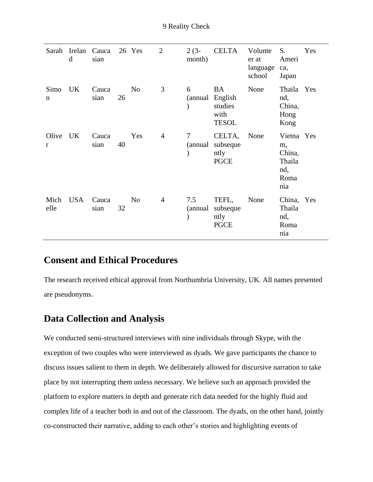| Sarah                 | Irelan<br>d | Cauca<br>sian |    | 26 Yes         | $\overline{2}$ | $2(3-$<br>month) | <b>CELTA</b>                                            | Volunte<br>er at<br>language<br>school | S.<br>Ameri<br>ca,<br>Japan                                | Yes |
|-----------------------|-------------|---------------|----|----------------|----------------|------------------|---------------------------------------------------------|----------------------------------------|------------------------------------------------------------|-----|
| Simo<br>$\mathbf n$   | UK          | Cauca<br>sian | 26 | N <sub>o</sub> | 3              | 6<br>(annual     | <b>BA</b><br>English<br>studies<br>with<br><b>TESOL</b> | None                                   | Thaila Yes<br>nd,<br>China,<br>Hong<br>Kong                |     |
| Olive<br>$\mathbf{r}$ | UK          | Cauca<br>sian | 40 | Yes            | $\overline{4}$ | 7<br>(annual     | CELTA,<br>subseque<br>ntly<br><b>PGCE</b>               | None                                   | Vietna Yes<br>m,<br>China,<br>Thaila<br>nd,<br>Roma<br>nia |     |
| Mich<br>elle          | <b>USA</b>  | Cauca<br>sian | 32 | N <sub>o</sub> | 4              | 7.5<br>(annual   | TEFL,<br>subseque<br>ntly<br><b>PGCE</b>                | None                                   | China, Yes<br>Thaila<br>nd,<br>Roma<br>nia                 |     |

### **Consent and Ethical Procedures**

The research received ethical approval from Northumbria University, UK. All names presented are pseudonyms.

### **Data Collection and Analysis**

We conducted semi-structured interviews with nine individuals through Skype, with the exception of two couples who were interviewed as dyads. We gave participants the chance to discuss issues salient to them in depth. We deliberately allowed for discursive narration to take place by not interrupting them unless necessary. We believe such an approach provided the platform to explore matters in depth and generate rich data needed for the highly fluid and complex life of a teacher both in and out of the classroom. The dyads, on the other hand, jointly co-constructed their narrative, adding to each other's stories and highlighting events of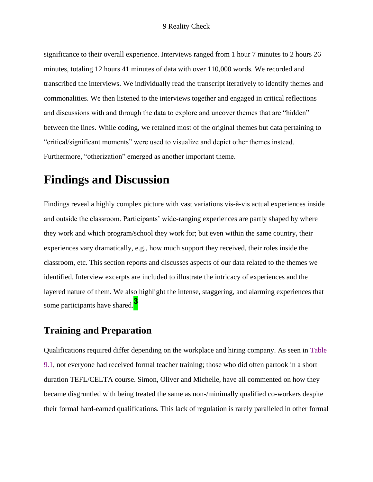significance to their overall experience. Interviews ranged from 1 hour 7 minutes to 2 hours 26 minutes, totaling 12 hours 41 minutes of data with over 110,000 words. We recorded and transcribed the interviews. We individually read the transcript iteratively to identify themes and commonalities. We then listened to the interviews together and engaged in critical reflections and discussions with and through the data to explore and uncover themes that are "hidden" between the lines. While coding, we retained most of the original themes but data pertaining to "critical/significant moments" were used to visualize and depict other themes instead. Furthermore, "otherization" emerged as another important theme.

# **Findings and Discussion**

Findings reveal a highly complex picture with vast variations vis-à-vis actual experiences inside and outside the classroom. Participants' wide-ranging experiences are partly shaped by where they work and which program/school they work for; but even within the same country, their experiences vary dramatically, e.g., how much support they received, their roles inside the classroom, etc. This section reports and discusses aspects of our data related to the themes we identified. Interview excerpts are included to illustrate the intricacy of experiences and the layered nature of them. We also highlight the intense, staggering, and alarming experiences that some participants have shared.**<sup>3</sup>**

### **Training and Preparation**

Qualifications required differ depending on the workplace and hiring company. As seen in Table 9.1, not everyone had received formal teacher training; those who did often partook in a short duration TEFL/CELTA course. Simon, Oliver and Michelle, have all commented on how they became disgruntled with being treated the same as non-/minimally qualified co-workers despite their formal hard-earned qualifications. This lack of regulation is rarely paralleled in other formal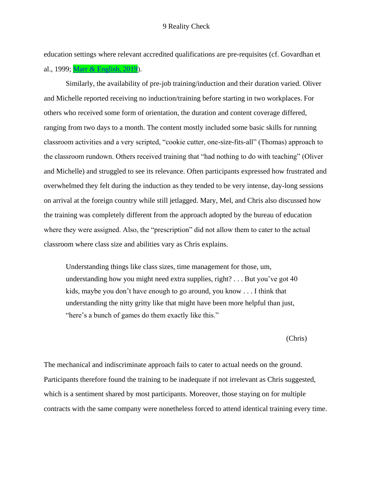education settings where relevant accredited qualifications are pre-requisites (cf. Govardhan et al., 1999; [Marr & English, 2019\)](file:///C:/Users/rtang/AppData/Local/Temp/Temp1_Yazan%2015032-3468%20for%20Copyediting%20(1).zip/Yazan%2015032-3468%20for%20Copyediting/15032-3468-FullBook.docx%23Ref_372_FILE150323468009).

Similarly, the availability of pre-job training/induction and their duration varied. Oliver and Michelle reported receiving no induction/training before starting in two workplaces. For others who received some form of orientation, the duration and content coverage differed, ranging from two days to a month. The content mostly included some basic skills for running classroom activities and a very scripted, "cookie cutter, one-size-fits-all" (Thomas) approach to the classroom rundown. Others received training that "had nothing to do with teaching" (Oliver and Michelle) and struggled to see its relevance. Often participants expressed how frustrated and overwhelmed they felt during the induction as they tended to be very intense, day-long sessions on arrival at the foreign country while still jetlagged. Mary, Mel, and Chris also discussed how the training was completely different from the approach adopted by the bureau of education where they were assigned. Also, the "prescription" did not allow them to cater to the actual classroom where class size and abilities vary as Chris explains.

Understanding things like class sizes, time management for those, um, understanding how you might need extra supplies, right? . . . But you've got 40 kids, maybe you don't have enough to go around, you know . . . I think that understanding the nitty gritty like that might have been more helpful than just, "here's a bunch of games do them exactly like this."

(Chris)

The mechanical and indiscriminate approach fails to cater to actual needs on the ground. Participants therefore found the training to be inadequate if not irrelevant as Chris suggested, which is a sentiment shared by most participants. Moreover, those staying on for multiple contracts with the same company were nonetheless forced to attend identical training every time.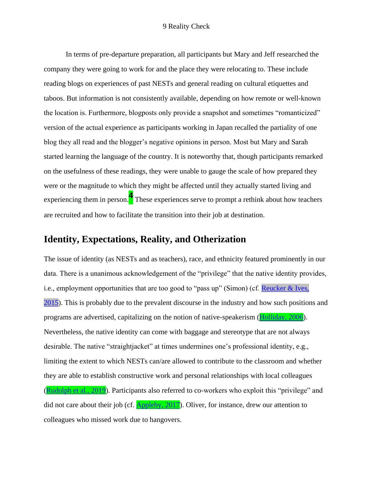In terms of pre-departure preparation, all participants but Mary and Jeff researched the company they were going to work for and the place they were relocating to. These include reading blogs on experiences of past NESTs and general reading on cultural etiquettes and taboos. But information is not consistently available, depending on how remote or well-known the location is. Furthermore, blogposts only provide a snapshot and sometimes "romanticized" version of the actual experience as participants working in Japan recalled the partiality of one blog they all read and the blogger's negative opinions in person. Most but Mary and Sarah started learning the language of the country. It is noteworthy that, though participants remarked on the usefulness of these readings, they were unable to gauge the scale of how prepared they were or the magnitude to which they might be affected until they actually started living and experiencing them in person.**<sup>4</sup>** These experiences serve to prompt a rethink about how teachers are recruited and how to facilitate the transition into their job at destination.

### **Identity, Expectations, Reality, and Otherization**

The issue of identity (as NESTs and as teachers), race, and ethnicity featured prominently in our data. There is a unanimous acknowledgement of the "privilege" that the native identity provides, i.e., employment opportunities that are too good to "pass up" (Simon) (cf. Reucker & Ives, [2015\)](file:///C:/Users/rtang/AppData/Local/Temp/Temp1_Yazan%2015032-3468%20for%20Copyediting%20(1).zip/Yazan%2015032-3468%20for%20Copyediting/15032-3468-Ref%20Mismatch%20Report.docx%23LStERROR_143). This is probably due to the prevalent discourse in the industry and how such positions and programs are advertised, capitalizing on the notion of native-speakerism [\(Holliday, 2006\)](file:///C:/Users/rtang/AppData/Local/Temp/Temp1_Yazan%2015032-3468%20for%20Copyediting%20(1).zip/Yazan%2015032-3468%20for%20Copyediting/15032-3468-FullBook.docx%23Ref_364_FILE150323468009). Nevertheless, the native identity can come with baggage and stereotype that are not always desirable. The native "straightjacket" at times undermines one's professional identity, e.g., limiting the extent to which NESTs can/are allowed to contribute to the classroom and whether they are able to establish constructive work and personal relationships with local colleagues [\(Rudolph et al., 2019\)](file:///C:/Users/rtang/AppData/Local/Temp/Temp1_Yazan%2015032-3468%20for%20Copyediting%20(1).zip/Yazan%2015032-3468%20for%20Copyediting/15032-3468-FullBook.docx%23Ref_380_FILE150323468009). Participants also referred to co-workers who exploit this "privilege" and did not care about their job (cf. [Appleby, 2017\)](file:///C:/Users/rtang/AppData/Local/Temp/Temp1_Yazan%2015032-3468%20for%20Copyediting%20(1).zip/Yazan%2015032-3468%20for%20Copyediting/15032-3468-FullBook.docx%23Ref_345_FILE150323468009). Oliver, for instance, drew our attention to colleagues who missed work due to hangovers.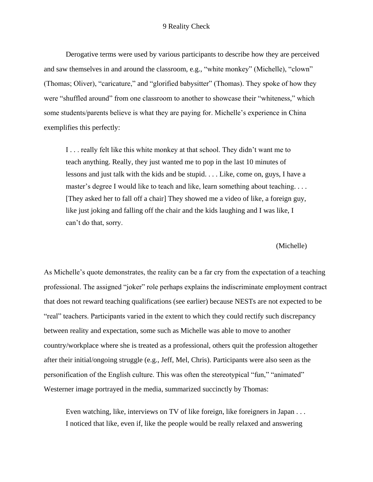Derogative terms were used by various participants to describe how they are perceived and saw themselves in and around the classroom, e.g., "white monkey" (Michelle), "clown" (Thomas; Oliver), "caricature," and "glorified babysitter" (Thomas). They spoke of how they were "shuffled around" from one classroom to another to showcase their "whiteness," which some students/parents believe is what they are paying for. Michelle's experience in China exemplifies this perfectly:

I . . . really felt like this white monkey at that school. They didn't want me to teach anything. Really, they just wanted me to pop in the last 10 minutes of lessons and just talk with the kids and be stupid. . . . Like, come on, guys, I have a master's degree I would like to teach and like, learn something about teaching. . . . [They asked her to fall off a chair] They showed me a video of like, a foreign guy, like just joking and falling off the chair and the kids laughing and I was like, I can't do that, sorry.

(Michelle)

As Michelle's quote demonstrates, the reality can be a far cry from the expectation of a teaching professional. The assigned "joker" role perhaps explains the indiscriminate employment contract that does not reward teaching qualifications (see earlier) because NESTs are not expected to be "real" teachers. Participants varied in the extent to which they could rectify such discrepancy between reality and expectation, some such as Michelle was able to move to another country/workplace where she is treated as a professional, others quit the profession altogether after their initial/ongoing struggle (e.g., Jeff, Mel, Chris). Participants were also seen as the personification of the English culture. This was often the stereotypical "fun," "animated" Westerner image portrayed in the media, summarized succinctly by Thomas:

Even watching, like, interviews on TV of like foreign, like foreigners in Japan . . . I noticed that like, even if, like the people would be really relaxed and answering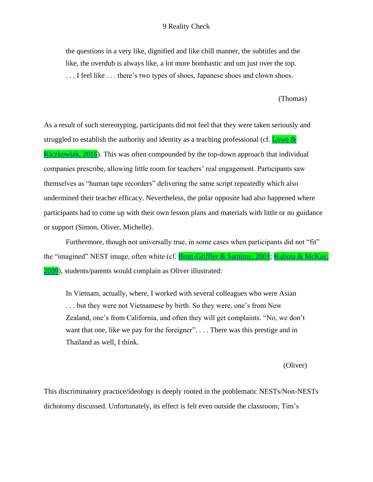#### 9 Reality Check

the questions in a very like, dignified and like chill manner, the subtitles and the like, the overdub is always like, a lot more bombastic and um just over the top. . . . I feel like . . . there's two types of shoes, Japanese shoes and clown shoes.

(Thomas)

As a result of such stereotyping, participants did not feel that they were taken seriously and struggled to establish the authority and identity as a teaching professional (cf. [Lowe &](file:///C:/Users/rtang/AppData/Local/Temp/Temp1_Yazan%2015032-3468%20for%20Copyediting%20(1).zip/Yazan%2015032-3468%20for%20Copyediting/15032-3468-FullBook.docx%23Ref_370_FILE150323468009)  [Kiczkowiak, 2016\)](file:///C:/Users/rtang/AppData/Local/Temp/Temp1_Yazan%2015032-3468%20for%20Copyediting%20(1).zip/Yazan%2015032-3468%20for%20Copyediting/15032-3468-FullBook.docx%23Ref_370_FILE150323468009). This was often compounded by the top-down approach that individual companies prescribe, allowing little room for teachers' real engagement. Participants saw themselves as "human tape recorders" delivering the same script repeatedly which also undermined their teacher efficacy. Nevertheless, the polar opposite had also happened where participants had to come up with their own lesson plans and materials with little or no guidance or support (Simon, Oliver, Michelle).

Furthermore, though not universally true, in some cases when participants did not "fit" the "imagined" NEST image, often white (cf. **Brutt-Griffler & Samimy, 2001; [Kubota & McKay,](file:///C:/Users/rtang/AppData/Local/Temp/Temp1_Yazan%2015032-3468%20for%20Copyediting%20(1).zip/Yazan%2015032-3468%20for%20Copyediting/15032-3468-FullBook.docx%23Ref_368_FILE150323468009)** [2009\)](file:///C:/Users/rtang/AppData/Local/Temp/Temp1_Yazan%2015032-3468%20for%20Copyediting%20(1).zip/Yazan%2015032-3468%20for%20Copyediting/15032-3468-FullBook.docx%23Ref_368_FILE150323468009), students/parents would complain as Oliver illustrated:

In Vietnam, actually, where, I worked with several colleagues who were Asian . . . but they were not Vietnamese by birth. So they were, one's from New Zealand, one's from California, and often they will get complaints. "No, we don't want that one, like we pay for the foreigner".... There was this prestige and in Thailand as well, I think.

(Oliver)

This discriminatory practice/ideology is deeply rooted in the problematic NESTs/Non-NESTs dichotomy discussed. Unfortunately, its effect is felt even outside the classroom; Tim's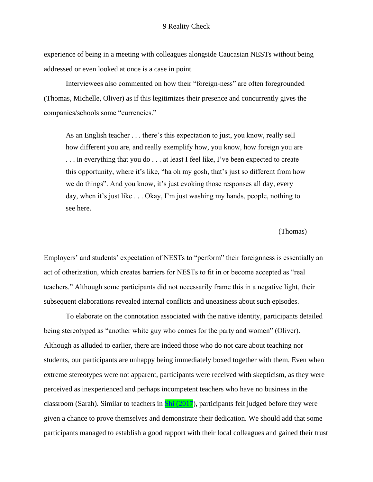experience of being in a meeting with colleagues alongside Caucasian NESTs without being addressed or even looked at once is a case in point.

Interviewees also commented on how their "foreign-ness" are often foregrounded (Thomas, Michelle, Oliver) as if this legitimizes their presence and concurrently gives the companies/schools some "currencies."

As an English teacher . . . there's this expectation to just, you know, really sell how different you are, and really exemplify how, you know, how foreign you are . . . in everything that you do . . . at least I feel like, I've been expected to create this opportunity, where it's like, "ha oh my gosh, that's just so different from how we do things". And you know, it's just evoking those responses all day, every day, when it's just like . . . Okay, I'm just washing my hands, people, nothing to see here.

#### (Thomas)

Employers' and students' expectation of NESTs to "perform" their foreignness is essentially an act of otherization, which creates barriers for NESTs to fit in or become accepted as "real teachers." Although some participants did not necessarily frame this in a negative light, their subsequent elaborations revealed internal conflicts and uneasiness about such episodes.

To elaborate on the connotation associated with the native identity, participants detailed being stereotyped as "another white guy who comes for the party and women" (Oliver). Although as alluded to earlier, there are indeed those who do not care about teaching nor students, our participants are unhappy being immediately boxed together with them. Even when extreme stereotypes were not apparent, participants were received with skepticism, as they were perceived as inexperienced and perhaps incompetent teachers who have no business in the classroom (Sarah). Similar to teachers in **Shi (2017)**, participants felt judged before they were given a chance to prove themselves and demonstrate their dedication. We should add that some participants managed to establish a good rapport with their local colleagues and gained their trust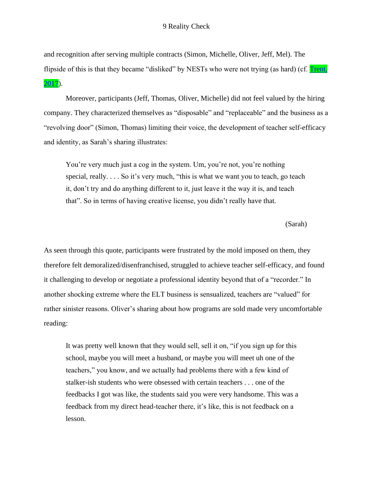and recognition after serving multiple contracts (Simon, Michelle, Oliver, Jeff, Mel). The flipside of this is that they became "disliked" by NESTs who were not trying (as hard) (cf. **Trent,** [2017\)](file:///C:/Users/rtang/AppData/Local/Temp/Temp1_Yazan%2015032-3468%20for%20Copyediting%20(1).zip/Yazan%2015032-3468%20for%20Copyediting/15032-3468-FullBook.docx%23Ref_385_FILE150323468009).

Moreover, participants (Jeff, Thomas, Oliver, Michelle) did not feel valued by the hiring company. They characterized themselves as "disposable" and "replaceable" and the business as a "revolving door" (Simon, Thomas) limiting their voice, the development of teacher self-efficacy and identity, as Sarah's sharing illustrates:

You're very much just a cog in the system. Um, you're not, you're nothing special, really. . . . So it's very much, "this is what we want you to teach, go teach it, don't try and do anything different to it, just leave it the way it is, and teach that". So in terms of having creative license, you didn't really have that.

(Sarah)

As seen through this quote, participants were frustrated by the mold imposed on them, they therefore felt demoralized/disenfranchised, struggled to achieve teacher self-efficacy, and found it challenging to develop or negotiate a professional identity beyond that of a "recorder." In another shocking extreme where the ELT business is sensualized, teachers are "valued" for rather sinister reasons. Oliver's sharing about how programs are sold made very uncomfortable reading:

It was pretty well known that they would sell, sell it on, "if you sign up for this school, maybe you will meet a husband, or maybe you will meet uh one of the teachers," you know, and we actually had problems there with a few kind of stalker-ish students who were obsessed with certain teachers . . . one of the feedbacks I got was like, the students said you were very handsome. This was a feedback from my direct head-teacher there, it's like, this is not feedback on a lesson.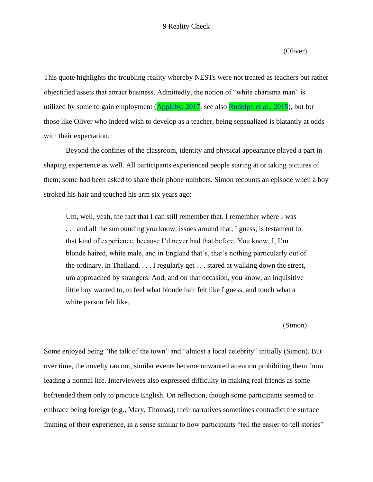(Oliver)

This quote highlights the troubling reality whereby NESTs were not treated as teachers but rather objectified assets that attract business. Admittedly, the notion of "white charisma man" is utilized by some to gain employment  $(Appleby, 2017)$  $(Appleby, 2017)$ ; see also **Rudolph et al., 2015**), but for those like Oliver who indeed wish to develop as a teacher, being sensualized is blatantly at odds with their expectation.

Beyond the confines of the classroom, identity and physical appearance played a part in shaping experience as well. All participants experienced people staring at or taking pictures of them; some had been asked to share their phone numbers. Simon recounts an episode when a boy stroked his hair and touched his arm six years ago:

Um, well, yeah, the fact that I can still remember that. I remember where I was . . . and all the surrounding you know, issues around that, I guess, is testament to that kind of experience, because I'd never had that before. You know, I, I'm blonde haired, white male, and in England that's, that's nothing particularly out of the ordinary, in Thailand. . . . I regularly get . . . stared at walking down the street, um approached by strangers. And, and on that occasion, you know, an inquisitive little boy wanted to, to feel what blonde hair felt like I guess, and touch what a white person felt like.

(Simon)

Some enjoyed being "the talk of the town" and "almost a local celebrity" initially (Simon). But over time, the novelty ran out, similar events became unwanted attention prohibiting them from leading a normal life. Interviewees also expressed difficulty in making real friends as some befriended them only to practice English. On reflection, though some participants seemed to embrace being foreign (e.g., Mary, Thomas), their narratives sometimes contradict the surface framing of their experience, in a sense similar to how participants "tell the easier-to-tell stories"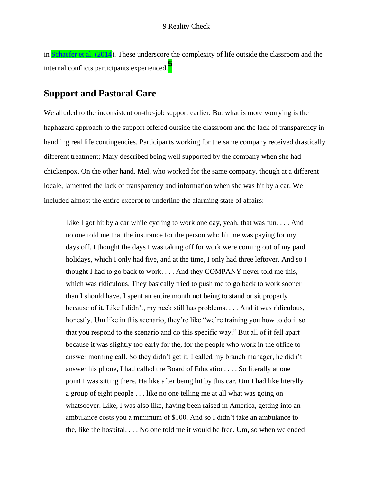in [Schaefer et al. \(2014\)](file:///C:/Users/rtang/AppData/Local/Temp/Temp1_Yazan%2015032-3468%20for%20Copyediting%20(1).zip/Yazan%2015032-3468%20for%20Copyediting/15032-3468-FullBook.docx%23Ref_381_FILE150323468009). These underscore the complexity of life outside the classroom and the internal conflicts participants experienced.**<sup>5</sup>**

#### **Support and Pastoral Care**

We alluded to the inconsistent on-the-job support earlier. But what is more worrying is the haphazard approach to the support offered outside the classroom and the lack of transparency in handling real life contingencies. Participants working for the same company received drastically different treatment; Mary described being well supported by the company when she had chickenpox. On the other hand, Mel, who worked for the same company, though at a different locale, lamented the lack of transparency and information when she was hit by a car. We included almost the entire excerpt to underline the alarming state of affairs:

Like I got hit by a car while cycling to work one day, yeah, that was fun.  $\dots$  And no one told me that the insurance for the person who hit me was paying for my days off. I thought the days I was taking off for work were coming out of my paid holidays, which I only had five, and at the time, I only had three leftover. And so I thought I had to go back to work. . . . And they COMPANY never told me this, which was ridiculous. They basically tried to push me to go back to work sooner than I should have. I spent an entire month not being to stand or sit properly because of it. Like I didn't, my neck still has problems. . . . And it was ridiculous, honestly. Um like in this scenario, they're like "we're training you how to do it so that you respond to the scenario and do this specific way." But all of it fell apart because it was slightly too early for the, for the people who work in the office to answer morning call. So they didn't get it. I called my branch manager, he didn't answer his phone, I had called the Board of Education. . . . So literally at one point I was sitting there. Ha like after being hit by this car. Um I had like literally a group of eight people . . . like no one telling me at all what was going on whatsoever. Like, I was also like, having been raised in America, getting into an ambulance costs you a minimum of \$100. And so I didn't take an ambulance to the, like the hospital. . . . No one told me it would be free. Um, so when we ended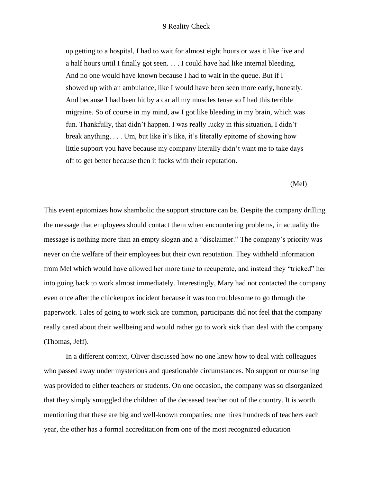#### 9 Reality Check

up getting to a hospital, I had to wait for almost eight hours or was it like five and a half hours until I finally got seen. . . . I could have had like internal bleeding. And no one would have known because I had to wait in the queue. But if I showed up with an ambulance, like I would have been seen more early, honestly. And because I had been hit by a car all my muscles tense so I had this terrible migraine. So of course in my mind, aw I got like bleeding in my brain, which was fun. Thankfully, that didn't happen. I was really lucky in this situation, I didn't break anything. . . . Um, but like it's like, it's literally epitome of showing how little support you have because my company literally didn't want me to take days off to get better because then it fucks with their reputation.

(Mel)

This event epitomizes how shambolic the support structure can be. Despite the company drilling the message that employees should contact them when encountering problems, in actuality the message is nothing more than an empty slogan and a "disclaimer." The company's priority was never on the welfare of their employees but their own reputation. They withheld information from Mel which would have allowed her more time to recuperate, and instead they "tricked" her into going back to work almost immediately. Interestingly, Mary had not contacted the company even once after the chickenpox incident because it was too troublesome to go through the paperwork. Tales of going to work sick are common, participants did not feel that the company really cared about their wellbeing and would rather go to work sick than deal with the company (Thomas, Jeff).

In a different context, Oliver discussed how no one knew how to deal with colleagues who passed away under mysterious and questionable circumstances. No support or counseling was provided to either teachers or students. On one occasion, the company was so disorganized that they simply smuggled the children of the deceased teacher out of the country. It is worth mentioning that these are big and well-known companies; one hires hundreds of teachers each year, the other has a formal accreditation from one of the most recognized education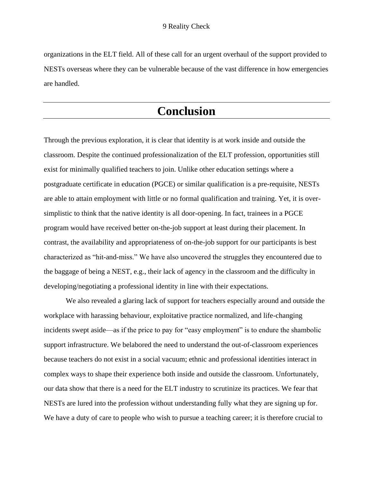organizations in the ELT field. All of these call for an urgent overhaul of the support provided to NESTs overseas where they can be vulnerable because of the vast difference in how emergencies are handled.

# **Conclusion**

Through the previous exploration, it is clear that identity is at work inside and outside the classroom. Despite the continued professionalization of the ELT profession, opportunities still exist for minimally qualified teachers to join. Unlike other education settings where a postgraduate certificate in education (PGCE) or similar qualification is a pre-requisite, NESTs are able to attain employment with little or no formal qualification and training. Yet, it is oversimplistic to think that the native identity is all door-opening. In fact, trainees in a PGCE program would have received better on-the-job support at least during their placement. In contrast, the availability and appropriateness of on-the-job support for our participants is best characterized as "hit-and-miss." We have also uncovered the struggles they encountered due to the baggage of being a NEST, e.g., their lack of agency in the classroom and the difficulty in developing/negotiating a professional identity in line with their expectations.

We also revealed a glaring lack of support for teachers especially around and outside the workplace with harassing behaviour, exploitative practice normalized, and life-changing incidents swept aside—as if the price to pay for "easy employment" is to endure the shambolic support infrastructure. We belabored the need to understand the out-of-classroom experiences because teachers do not exist in a social vacuum; ethnic and professional identities interact in complex ways to shape their experience both inside and outside the classroom. Unfortunately, our data show that there is a need for the ELT industry to scrutinize its practices. We fear that NESTs are lured into the profession without understanding fully what they are signing up for. We have a duty of care to people who wish to pursue a teaching career; it is therefore crucial to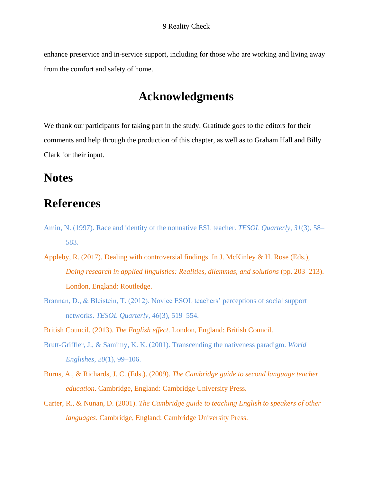enhance preservice and in-service support, including for those who are working and living away from the comfort and safety of home.

## **Acknowledgments**

We thank our participants for taking part in the study. Gratitude goes to the editors for their comments and help through the production of this chapter, as well as to Graham Hall and Billy Clark for their input.

# **Notes**

# **References**

- Amin, N. (1997). Race and identity of the nonnative ESL teacher. *TESOL Quarterly*, *31*(3), 58– 583.
- Appleby, R. (2017). Dealing with controversial findings. In J. McKinley & H. Rose (Eds.), *Doing research in applied linguistics: Realities, dilemmas, and solutions* (pp. 203–213). London, England: Routledge.
- Brannan, D., & Bleistein, T. (2012). Novice ESOL teachers' perceptions of social support networks. *TESOL Quarterly*, *46*(3), 519–554.

British Council. (2013). *The English effect*. London, England: British Council.

- Brutt-Griffler, J., & Samimy, K. K. (2001). Transcending the nativeness paradigm. *World Englishes*, *20*(1), 99–106.
- Burns, A., & Richards, J. C. (Eds.). (2009). *The Cambridge guide to second language teacher education*. Cambridge, England: Cambridge University Press.
- Carter, R., & Nunan, D. (2001). *The Cambridge guide to teaching English to speakers of other languages*. Cambridge, England: Cambridge University Press.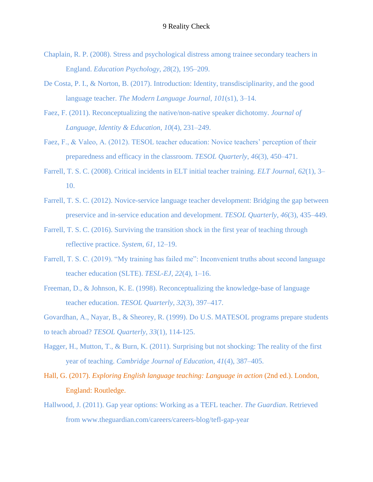- Chaplain, R. P. (2008). Stress and psychological distress among trainee secondary teachers in England. *Education Psychology*, *28*(2), 195–209.
- De Costa, P. I., & Norton, B. (2017). Introduction: Identity, transdisciplinarity, and the good language teacher. *The Modern Language Journal*, *101*(s1), 3–14.
- Faez, F. (2011). Reconceptualizing the native/non-native speaker dichotomy. *Journal of Language, Identity & Education*, *10*(4), 231–249.
- Faez, F., & Valeo, A. (2012). TESOL teacher education: Novice teachers' perception of their preparedness and efficacy in the classroom. *TESOL Quarterly*, *46*(3), 450–471.
- Farrell, T. S. C. (2008). Critical incidents in ELT initial teacher training. *ELT Journal*, *62*(1), 3– 10.
- Farrell, T. S. C. (2012). Novice-service language teacher development: Bridging the gap between preservice and in-service education and development. *TESOL Quarterly*, *46*(3), 435–449.
- Farrell, T. S. C. (2016). Surviving the transition shock in the first year of teaching through reflective practice. *System*, *61*, 12–19.
- Farrell, T. S. C. (2019). "My training has failed me": Inconvenient truths about second language teacher education (SLTE). *TESL-EJ*, *22*(4), 1–16.
- Freeman, D., & Johnson, K. E. (1998). Reconceptualizing the knowledge-base of language teacher education. *TESOL Quarterly*, *32*(3), 397–417.
- Govardhan, A., Nayar, B., & Sheorey, R. (1999). Do U.S. MATESOL programs prepare students to teach abroad? *TESOL Quarterly, 33*(1), 114-125.
- Hagger, H., Mutton, T., & Burn, K. (2011). Surprising but not shocking: The reality of the first year of teaching. *Cambridge Journal of Education*, *41*(4), 387–405.
- Hall, G. (2017). *Exploring English language teaching: Language in action* (2nd ed.). London, England: Routledge.
- Hallwood, J. (2011). Gap year options: Working as a TEFL teacher. *The Guardian*. Retrieved from www.theguardian.com/careers/careers-blog/tefl-gap-year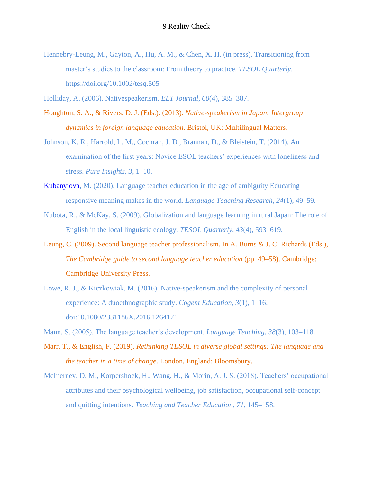Hennebry-Leung, M., Gayton, A., Hu, A. M., & Chen, X. H. (in press). Transitioning from master's studies to the classroom: From theory to practice. *TESOL Quarterly*. https://doi.org/10.1002/tesq.505

Holliday, A. (2006). Nativespeakerism. *ELT Journal*, *60*(4), 385–387.

- Houghton, S. A., & Rivers, D. J. (Eds.). (2013). *Native-speakerism in Japan: Intergroup dynamics in foreign language education*. Bristol, UK: Multilingual Matters.
- Johnson, K. R., Harrold, L. M., Cochran, J. D., Brannan, D., & Bleistein, T. (2014). An examination of the first years: Novice ESOL teachers' experiences with loneliness and stress. *Pure Insights*, *3*, 1–10.
- [Kubanyiova,](file:///C:/Users/rtang/AppData/Local/Temp/Temp1_Yazan%2015032-3468%20for%20Copyediting%20(1).zip/Yazan%2015032-3468%20for%20Copyediting/15032-3468-Ref%20Mismatch%20Report.docx%23LStERROR_33) M. (2020). Language teacher education in the age of ambiguity Educating responsive meaning makes in the world. *Language Teaching Research*, *24*(1), 49–59.
- Kubota, R., & McKay, S. (2009). Globalization and language learning in rural Japan: The role of English in the local linguistic ecology. *TESOL Quarterly*, *43*(4), 593–619.
- Leung, C. (2009). Second language teacher professionalism. In A. Burns & J. C. Richards (Eds.), *The Cambridge guide to second language teacher education* (pp. 49–58). Cambridge: Cambridge University Press.
- Lowe, R. J., & Kiczkowiak, M. (2016). Native-speakerism and the complexity of personal experience: A duoethnographic study. *Cogent Education*, *3*(1), 1–16. doi:10.1080/2331186X.2016.1264171
- Mann, S. (2005). The language teacher's development. *Language Teaching*, *38*(3), 103–118.
- Marr, T., & English, F. (2019). *Rethinking TESOL in diverse global settings: The language and the teacher in a time of change*. London, England: Bloomsbury.
- McInerney, D. M., Korpershoek, H., Wang, H., & Morin, A. J. S. (2018). Teachers' occupational attributes and their psychological wellbeing, job satisfaction, occupational self-concept and quitting intentions. *Teaching and Teacher Education*, *71*, 145–158.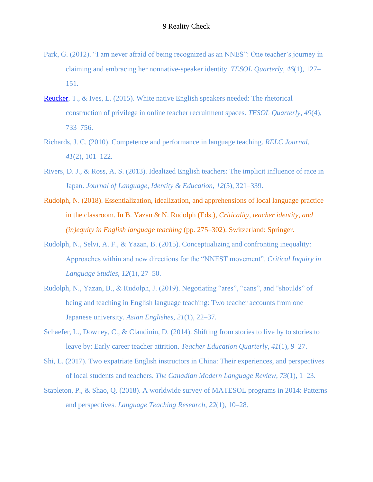- Park, G. (2012). "I am never afraid of being recognized as an NNES": One teacher's journey in claiming and embracing her nonnative-speaker identity. *TESOL Quarterly*, *46*(1), 127– 151.
- [Reucker,](file:///C:/Users/rtang/AppData/Local/Temp/Temp1_Yazan%2015032-3468%20for%20Copyediting%20(1).zip/Yazan%2015032-3468%20for%20Copyediting/15032-3468-Ref%20Mismatch%20Report.docx%23LStERROR_34) T., & Ives, L. (2015). White native English speakers needed: The rhetorical construction of privilege in online teacher recruitment spaces. *TESOL Quarterly*, *49*(4), 733–756.
- Richards, J. C. (2010). Competence and performance in language teaching. *RELC Journal*, *41*(2), 101–122.
- Rivers, D. J., & Ross, A. S. (2013). Idealized English teachers: The implicit influence of race in Japan. *Journal of Language, Identity & Education*, *12*(5), 321–339.
- Rudolph, N. (2018). Essentialization, idealization, and apprehensions of local language practice in the classroom. In B. Yazan & N. Rudolph (Eds.), *Criticality, teacher identity, and (in)equity in English language teaching* (pp. 275–302). Switzerland: Springer.
- Rudolph, N., Selvi, A. F., & Yazan, B. (2015). Conceptualizing and confronting inequality: Approaches within and new directions for the "NNEST movement". *Critical Inquiry in Language Studies*, *12*(1), 27–50.
- Rudolph, N., Yazan, B., & Rudolph, J. (2019). Negotiating "ares", "cans", and "shoulds" of being and teaching in English language teaching: Two teacher accounts from one Japanese university. *Asian Englishes*, *21*(1), 22–37.
- Schaefer, L., Downey, C., & Clandinin, D. (2014). Shifting from stories to live by to stories to leave by: Early career teacher attrition. *Teacher Education Quarterly*, *41*(1), 9–27.
- Shi, L. (2017). Two expatriate English instructors in China: Their experiences, and perspectives of local students and teachers. *The Canadian Modern Language Review*, *73*(1), 1–23.
- Stapleton, P., & Shao, Q. (2018). A worldwide survey of MATESOL programs in 2014: Patterns and perspectives. *Language Teaching Research*, *22*(1), 10–28.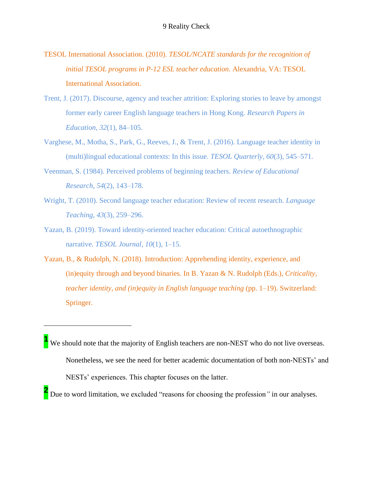- TESOL International Association. (2010). *TESOL/NCATE standards for the recognition of initial TESOL programs in P-12 ESL teacher education*. Alexandria, VA: TESOL International Association.
- Trent, J. (2017). Discourse, agency and teacher attrition: Exploring stories to leave by amongst former early career English language teachers in Hong Kong. *Research Papers in Education*, *32*(1), 84–105.
- Varghese, M., Motha, S., Park, G., Reeves, J., & Trent, J. (2016). Language teacher identity in (multi)lingual educational contexts: In this issue. *TESOL Quarterly*, *60*(3), 545–571.
- Veenman, S. (1984). Perceived problems of beginning teachers. *Review of Educational Research*, *54*(2), 143–178.
- Wright, T. (2010). Second language teacher education: Review of recent research. *Language Teaching*, *43*(3), 259–296.
- Yazan, B. (2019). Toward identity-oriented teacher education: Critical autoethnographic narrative. *TESOL Journal*, *10*(1), 1–15.
- Yazan, B., & Rudolph, N. (2018). Introduction: Apprehending identity, experience, and (in)equity through and beyond binaries. In B. Yazan & N. Rudolph (Eds.), *Criticality, teacher identity, and (in)equity in English language teaching* (pp. 1–19). Switzerland: Springer.

l

**1** We should note that the majority of English teachers are non-NEST who do not live overseas. Nonetheless, we see the need for better academic documentation of both non-NESTs' and NESTs' experiences. This chapter focuses on the latter.

**<sup>2</sup>** Due to word limitation, we excluded "reasons for choosing the profession*"* in our analyses.